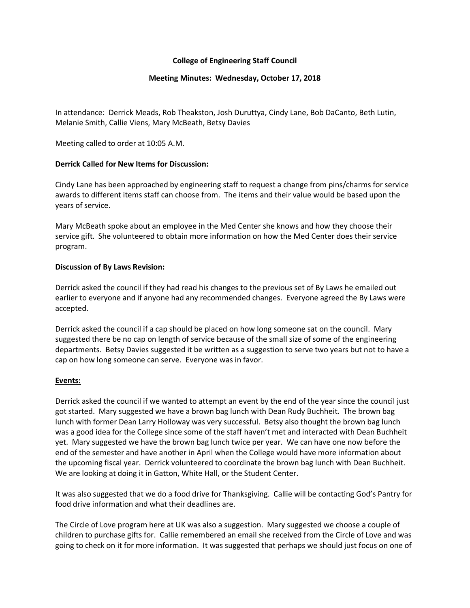## **College of Engineering Staff Council**

## **Meeting Minutes: Wednesday, October 17, 2018**

In attendance: Derrick Meads, Rob Theakston, Josh Duruttya, Cindy Lane, Bob DaCanto, Beth Lutin, Melanie Smith, Callie Viens, Mary McBeath, Betsy Davies

Meeting called to order at 10:05 A.M.

### **Derrick Called for New Items for Discussion:**

Cindy Lane has been approached by engineering staff to request a change from pins/charms for service awards to different items staff can choose from. The items and their value would be based upon the years of service.

Mary McBeath spoke about an employee in the Med Center she knows and how they choose their service gift. She volunteered to obtain more information on how the Med Center does their service program.

### **Discussion of By Laws Revision:**

Derrick asked the council if they had read his changes to the previous set of By Laws he emailed out earlier to everyone and if anyone had any recommended changes. Everyone agreed the By Laws were accepted.

Derrick asked the council if a cap should be placed on how long someone sat on the council. Mary suggested there be no cap on length of service because of the small size of some of the engineering departments. Betsy Davies suggested it be written as a suggestion to serve two years but not to have a cap on how long someone can serve. Everyone was in favor.

#### **Events:**

Derrick asked the council if we wanted to attempt an event by the end of the year since the council just got started. Mary suggested we have a brown bag lunch with Dean Rudy Buchheit. The brown bag lunch with former Dean Larry Holloway was very successful. Betsy also thought the brown bag lunch was a good idea for the College since some of the staff haven't met and interacted with Dean Buchheit yet. Mary suggested we have the brown bag lunch twice per year. We can have one now before the end of the semester and have another in April when the College would have more information about the upcoming fiscal year. Derrick volunteered to coordinate the brown bag lunch with Dean Buchheit. We are looking at doing it in Gatton, White Hall, or the Student Center.

It was also suggested that we do a food drive for Thanksgiving. Callie will be contacting God's Pantry for food drive information and what their deadlines are.

The Circle of Love program here at UK was also a suggestion. Mary suggested we choose a couple of children to purchase gifts for. Callie remembered an email she received from the Circle of Love and was going to check on it for more information. It was suggested that perhaps we should just focus on one of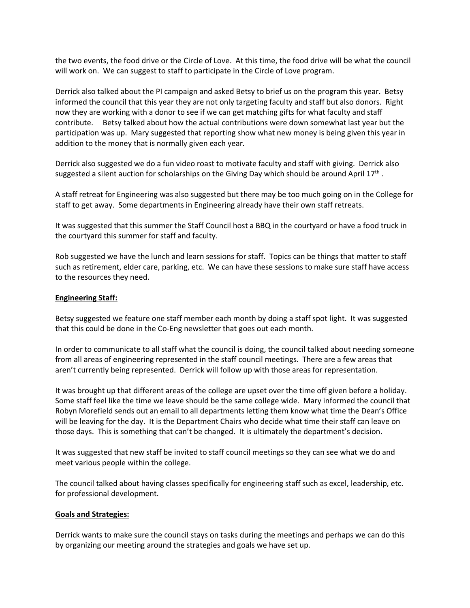the two events, the food drive or the Circle of Love. At this time, the food drive will be what the council will work on. We can suggest to staff to participate in the Circle of Love program.

Derrick also talked about the PI campaign and asked Betsy to brief us on the program this year. Betsy informed the council that this year they are not only targeting faculty and staff but also donors. Right now they are working with a donor to see if we can get matching gifts for what faculty and staff contribute. Betsy talked about how the actual contributions were down somewhat last year but the participation was up. Mary suggested that reporting show what new money is being given this year in addition to the money that is normally given each year.

Derrick also suggested we do a fun video roast to motivate faculty and staff with giving. Derrick also suggested a silent auction for scholarships on the Giving Day which should be around April  $17<sup>th</sup>$ .

A staff retreat for Engineering was also suggested but there may be too much going on in the College for staff to get away. Some departments in Engineering already have their own staff retreats.

It was suggested that this summer the Staff Council host a BBQ in the courtyard or have a food truck in the courtyard this summer for staff and faculty.

Rob suggested we have the lunch and learn sessions for staff. Topics can be things that matter to staff such as retirement, elder care, parking, etc. We can have these sessions to make sure staff have access to the resources they need.

### **Engineering Staff:**

Betsy suggested we feature one staff member each month by doing a staff spot light. It was suggested that this could be done in the Co-Eng newsletter that goes out each month.

In order to communicate to all staff what the council is doing, the council talked about needing someone from all areas of engineering represented in the staff council meetings. There are a few areas that aren't currently being represented. Derrick will follow up with those areas for representation.

It was brought up that different areas of the college are upset over the time off given before a holiday. Some staff feel like the time we leave should be the same college wide. Mary informed the council that Robyn Morefield sends out an email to all departments letting them know what time the Dean's Office will be leaving for the day. It is the Department Chairs who decide what time their staff can leave on those days. This is something that can't be changed. It is ultimately the department's decision.

It was suggested that new staff be invited to staff council meetings so they can see what we do and meet various people within the college.

The council talked about having classes specifically for engineering staff such as excel, leadership, etc. for professional development.

## **Goals and Strategies:**

Derrick wants to make sure the council stays on tasks during the meetings and perhaps we can do this by organizing our meeting around the strategies and goals we have set up.